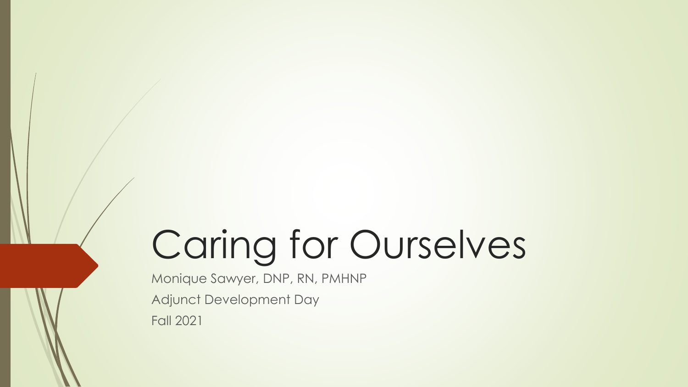# Caring for Ourselves

Monique Sawyer, DNP, RN, PMHNP Adjunct Development Day Fall 2021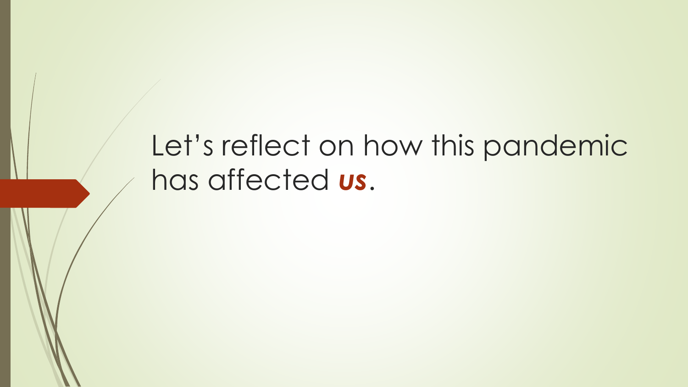# Let's reflect on how this pandemic has affected *us*.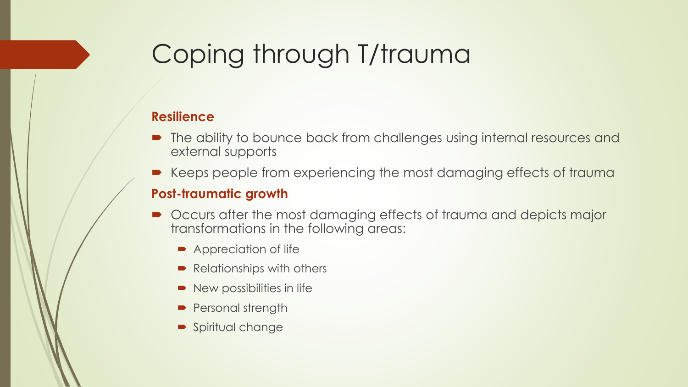### Coping through T/trauma

#### **Resilience**

- The ability to bounce back from challenges using internal resources and external supports
- Keeps people from experiencing the most damaging effects of trauma

#### **Post-traumatic growth**

- Occurs after the most damaging effects of trauma and depicts major transformations in the following areas:
	- Appreciation of life
	- Relationships with others
	- New possibilities in life
	- Personal strength
	- **Spiritual change**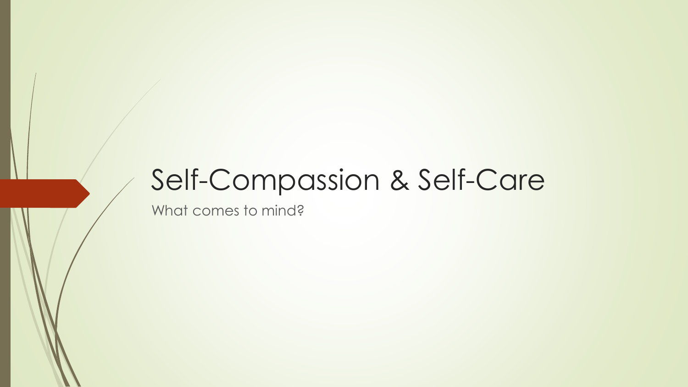### Self-Compassion & Self-Care

What comes to mind?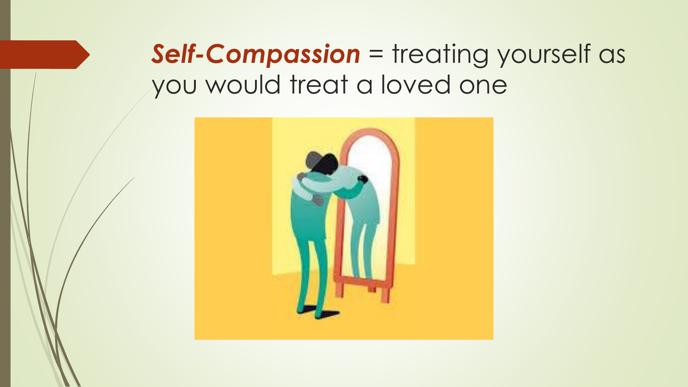### *Self-Compassion* = treating yourself as you would treat a loved one

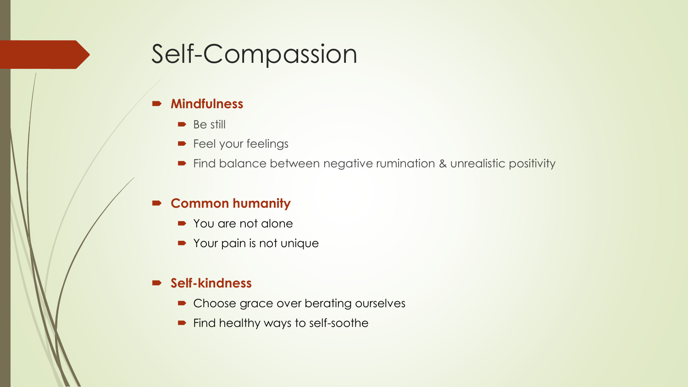### Self-Compassion

#### **Mindfulness**

- **Be still**
- **Feel your feelings**
- Find balance between negative rumination & unrealistic positivity

#### **Common humanity**

- You are not alone
- Your pain is not unique

#### **Self-kindness**

- Choose grace over berating ourselves
- Find healthy ways to self-soothe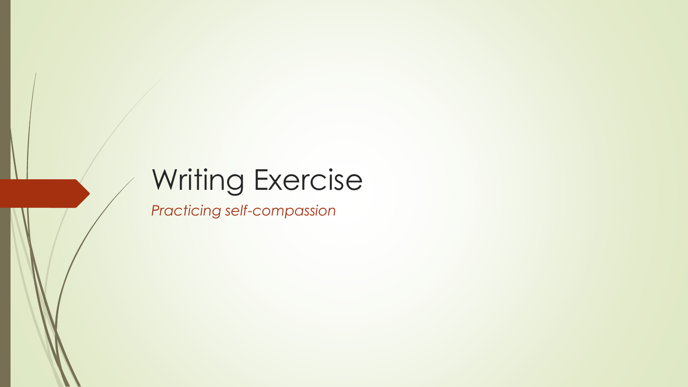# Writing Exercise

*Practicing self-compassion*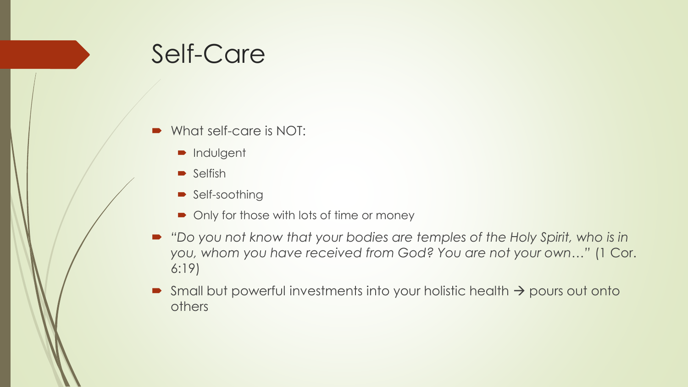### Self-Care

- What self-care is NOT:
	- **ndulgent**
	- $\blacktriangleright$  Selfish
	- Self-soothing
	- Only for those with lots of time or money
- "Do you not know that your bodies are temples of the Holy Spirit, who is in *you, whom you have received from God? You are not your own…"* (1 Cor. 6:19)
- Small but powerful investments into your holistic health  $\rightarrow$  pours out onto others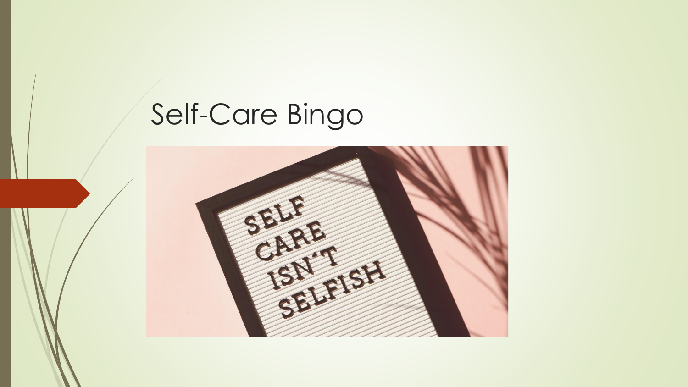# Self-Care Bingo